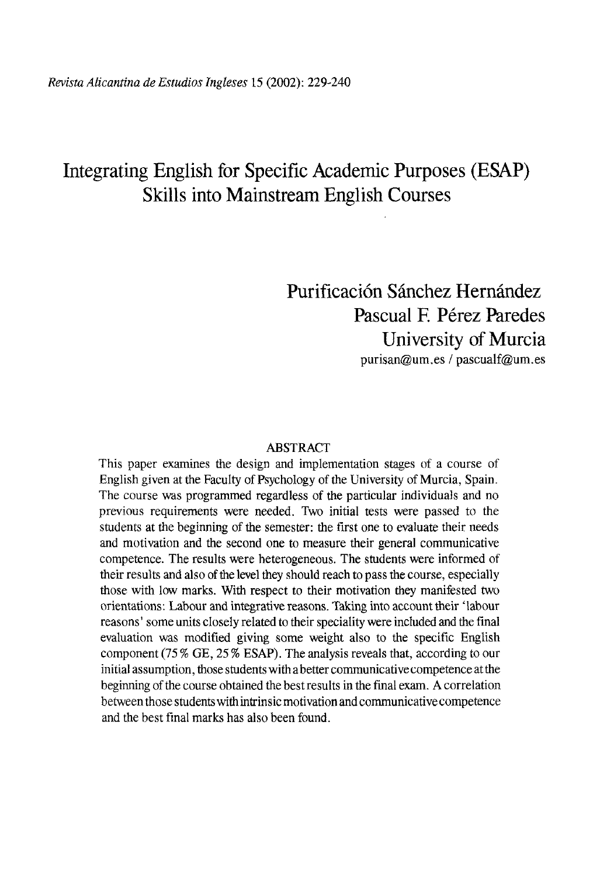# Integrating English for Specific Academic Purposes (ESAP) Skills into Mainstream English Courses

# Purificación Sánchez Hernández Pascual F. Pérez Paredes University of Murcia [purisan@um.es /](mailto:purisan@um.es) [pascualf@um.es](mailto:pascualf@um.es)

#### ABSTRACT

This paper examines the design and implementation stages of a course of English given at the Faculty of Psychology of the University of Murcia, Spain. The course was programmed regardless of the particular individuals and no previous requirements were needed. Two initial tests were passed to the students at the beginning of the semester: the first one to evaluate their needs and motivation and the second one to measure their general communicative competence. The results were heterogeneous. The students were informed of their results and also of the level they should reach to pass the course, especially those with low marks. With respect to their motivation they manifested two orientations: Labour and integrative reasons. Taking into account their 'labour reasons' some units closely related to their speciality were included and the final evaluation was modified giving some weight also to the specific English component (75 % GE, 25 % ESAP). The analysis reveáis that, according to our initial assumption, those students with a better communicative competence at the beginning of the course obtained the best results in the final exam. A correlation between those students with intrinsic motivation and communicative competence and the best final marks has also been found.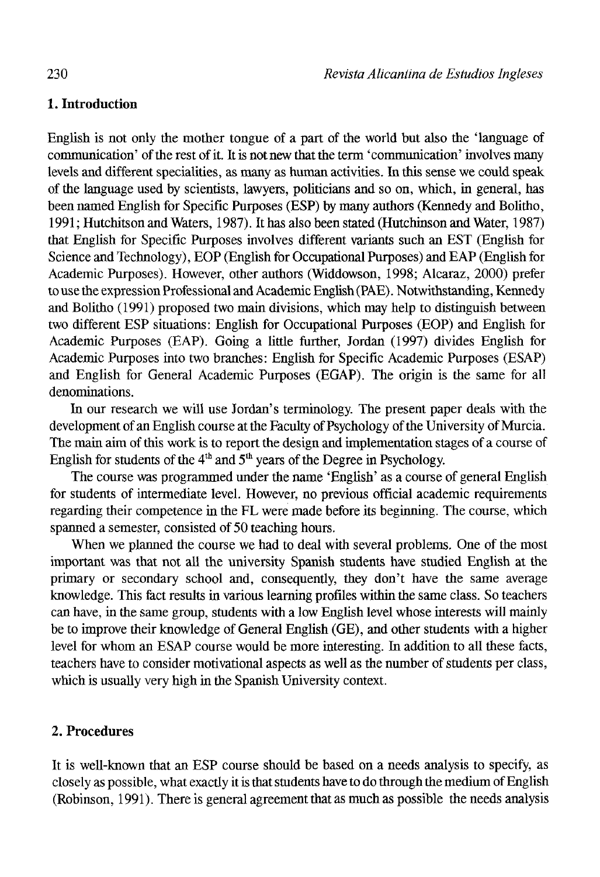## **1. Introduction**

English is not only the mother tongue of a part of the world but also the 'language of communication' of the rest of it. It is not new that the term 'communication' involves many levéis and different specialities, as many as human activities. In this sense we could speak of the language used by scientists, lawyers, politicians and so on, which, in general, has been named English for Specific Purposes (ESP) by many authors (Kennedy and Bolitho, 1991; Hutchitson and Waters, 1987). It has also been stated (Hutchinson and Water, 1987) that English for Specific Purposes involves different variants such an EST (English for Science and Technology), EOP (English for Occupational Purposes) and EAP (English for Academic Purposes). However, other authors (Widdowson, 1998; Alcaraz, 2000) prefer to use the expression Professional and Academic English (PAE). Notwithstanding, Kennedy and Bolitho (1991) proposed two main divisions, which may help to distinguish between two different ESP situations: English for Occupational Purposes (EOP) and English for Academic Purposes (EAP). Going a little further, Jordán (1997) divides English for Academic Purposes into two branches: English for Specific Academic Purposes (ESAP) and English for General Academic Purposes (EGAP). The origin is the same for all denominations.

In our research we will use Jordan's terminology. The present paper deals with the development of an English course at the Faculty of Psychology of the University of Murcia. The main aim of this work is to report the design and implementation stages of a course of English for students of the  $4<sup>th</sup>$  and  $5<sup>th</sup>$  years of the Degree in Psychology.

The course was programmed under the name 'English' as a course of general English for students of intermedíate level. However, no previous official academic requirements regarding their competence in the FL were rnade before its beginning. The course, which spanned a semester, consisted of 50 teaching hours.

When we planned the course we had to deal with several problems. One of the most important was that not all the university Spanish students have studied English at the primary or secondary school and, consequently, they don't have the same average knowledge. This fact results in various learning profiles within the same class. So teachers can have, in the same group, students with a low English level whose interests will mainly be to improve their knowledge of General English (GE), and other students with a higher level for whom an ESAP course would be more interesting. In addition to all these facts, teachers have to consider motivational aspects as well as the number of students per class, which is usually very high in the Spanish University context.

## 2. **Procedures**

It is well-known that an ESP course should be based on a needs analysis to specify, as closely as possible, what exactly it is that students have to do through the médium of English (Robinson, 1991). There is general agreement that as much as possible the needs analysis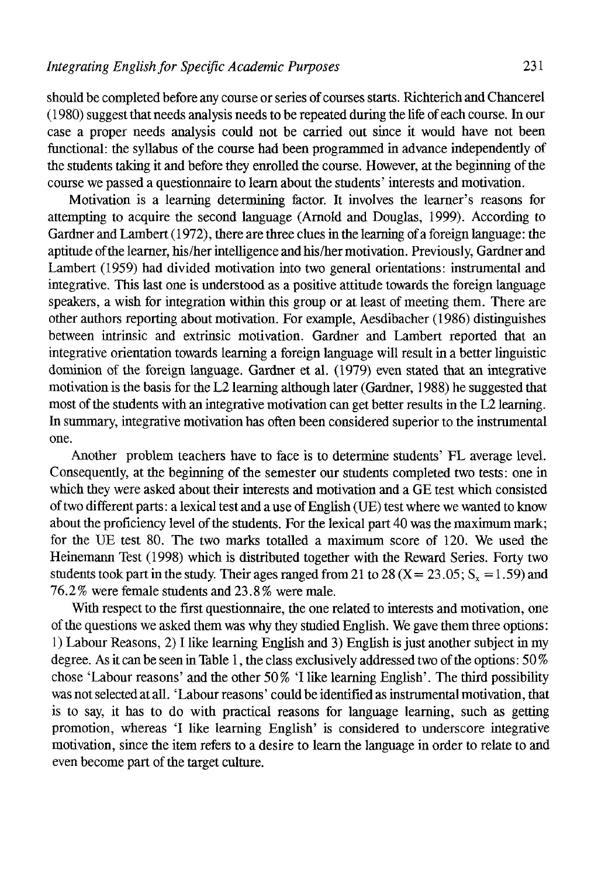should be completed before any course or series of courses starts. Richterich and Chancerel  $(1980)$  suggest that needs analysis needs to be repeated during the life of each course. In our case a proper needs analysis could not be carried out since it would nave not been functional: the syllabus of the course had been programmed in advance independently of the students taking it and before they enrolled the course. However, at the beginning of the course we passed a questionnaire to learn about the students' interests and motivation.

Motivation is a learning determining factor. It involves the learner's reasons for attempting to acquire the second language (Arnold and Douglas, 1999). According to Gardner and Lambert (1972), there are three clues in the learning of a foreign language: the aptitude of the learner, his/her intelligence and his/her motivation. Previously, Gardner and Lambert (1959) had divided motivation into two general orientations: instrumental and integrative. This last one is understood as a positive attitude towards the foreign language speakers, a wish for integration within this group or at least of meeting them. There are other authors reporting about motivation. For example, Aesdibacher (1986) distinguishes between intrinsic and extrinsic motivation. Gardner and Lambert reported that an integrative orientation towards learning a foreign language will result in a better linguistic dominión of the foreign language. Gardner et al. (1979) even stated that an integrative motivation is the basis for the L2 learning although later (Gardner, 1988) he suggested that most of the students with an integrative motivation can get better results in the L2 learning. In summary, integrative motivation has often been considered superior to the instrumental one.

Another problem teachers have to face is to determine students' FL average level. Consequently, at the beginning of the semester our students completed two tests: one in which they were asked about their interests and motivation and a GE test which consisted of two different parts: a lexical test and a use of English (UE) test where we wanted to know about the proficiency level of the students. For the lexical part 40 was the maximum mark; for the UE test 80. The two marks totalled a maximum score of 120. We used the Heinemann Test (1998) which is distributed together with the Reward Series. Forty two students took part in the study. Their ages ranged from 21 to 28 (X = 23.05;  $S_x = 1.59$ ) and 76.2% were female students and 23.8% were male.

With respect to the first questionnaire, the one related to interests and motivation, one of the questions we asked them was why they studied English. We gave them three options: 1) Labour Reasons, 2) I like learning English and 3) English is just another subject in my degree. As it can be seen in Table 1, the class exclusively addressed two of the options: 50 % chose 'Labour reasons' and the other 50% T like learning English'. The third possibility was not selected at all. 'Labour reasons' could be identified as instrumental motivation, that is to say, it has to do with practical reasons for language learning, such as getting promotion, whereas 'I like learning English' is considered to underscore integrative motivation, since the item refers to a desire to learn the language in order to relate to and even become part of the target culture.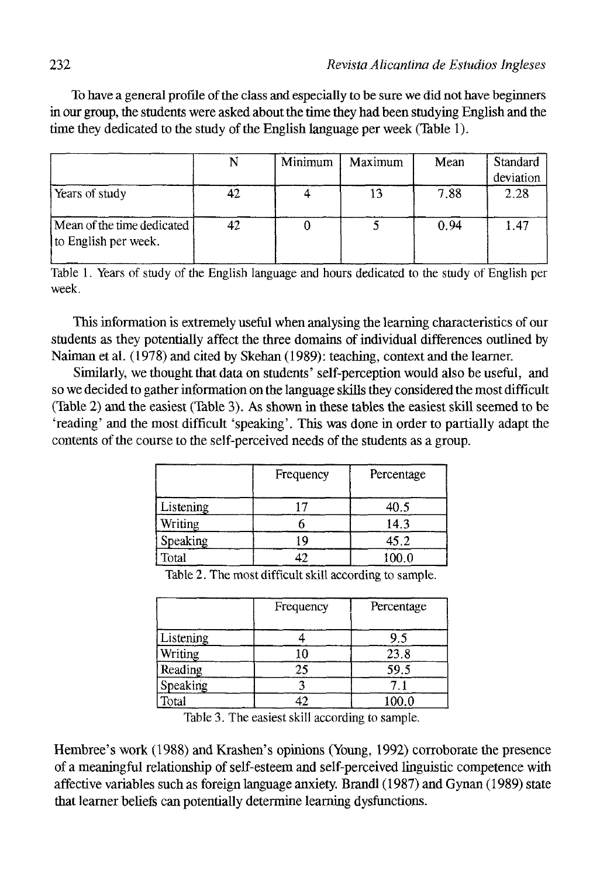To have a general profile of the class and especially to be sure we did not have beginners in our group, the students were asked about the time they had been studying English and the time they dedicated to the study of the English language per week (Table 1).

|                                                    |    | Minimum | Maximum | Mean | Standard<br>deviation |
|----------------------------------------------------|----|---------|---------|------|-----------------------|
| Years of study                                     | 42 |         |         | 7.88 | 2.28                  |
| Mean of the time dedicated<br>to English per week. | 42 |         |         | 0.94 | 1.47                  |

Table 1. Years of study of the English language and hours dedicated to the study of English per week.

This information is extremely useful when analysing the learning characteristics of our students as they potentially affect the three domains of individual differences outlined by Naiman et al. (1978) and cited by Skehan (1989): teaching, context and the learner.

Similarly, we thought that data on students' self-perception would also be useful, and so we decided to gather information on the language skills they considered the most difficult (Table 2) and the easiest (Table 3). As shown in these tables the easiest skill seemed to be 'reading' and the most difficult 'speaking'. This was done in order to partially adapt the contents of the course to the self-perceived needs of the students as a group.

|           | Frequency | Percentage |
|-----------|-----------|------------|
| Listening |           | 40.5       |
| Writing   |           | 14.3       |
| Speaking  | 19        | 45.2       |
| Total     | 42        | 100.0      |

Table 2. The most difficult skill according to sample.

|           | Frequency | Percentage |
|-----------|-----------|------------|
| Listening |           | 9.5        |
| Writing   | 10        | 23.8       |
| Reading   | 25        | 59.5       |
| Speaking  |           |            |
| Total     |           | 100.0      |

Table 3. The easiest skill according to sample.

Hembree's work (1988) and Krashen's opinions (Young, 1992) corroborate the presence of a meaningful relationship of self-esteem and self-perceived linguistic competence with affective variables such as foreign language anxiety. Brandl (1987) and Gynan (1989) state that learner beliefs can potentially determine learning dysfunctions.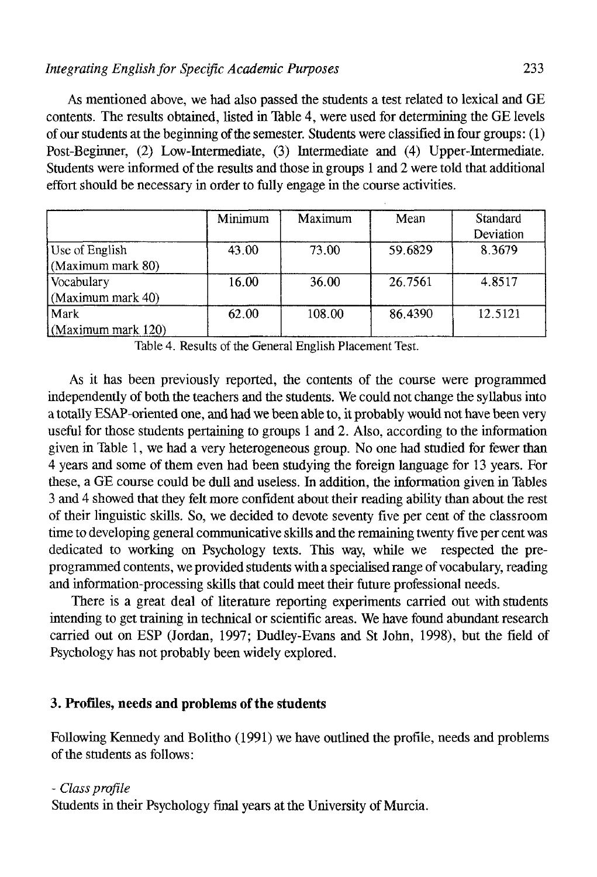As mentioned above, we had also passed the students a test related to lexical and GE contents. The results obtained, listed in Table 4, were used for determining the GE levéis of our students atthe beginning of the semester. Students were classified in four groups: (1) Post-Beginner, (2) Low-Intermediate, (3) Intermedíate and (4) Upper-Intermediate. Students were informed of the results and those in groups 1 and 2 were told that additional effort should be necessary in order to fully engage in the course activities.

|                    | Minimum | Maximum | Mean    | Standard<br>Deviation |
|--------------------|---------|---------|---------|-----------------------|
| Use of English     | 43.00   | 73.00   | 59.6829 | 8.3679                |
| (Maximum mark 80)  |         |         |         |                       |
| Vocabulary         | 16.00   | 36.00   | 26.7561 | 4.8517                |
| (Maximum mark 40)  |         |         |         |                       |
| Mark               | 62.00   | 108.00  | 86.4390 | 12.5121               |
| (Maximum mark 120) |         |         |         |                       |

Table 4. Results of the General English Placement Test.

As it has been previously reported, the contents of the course were programmed independently of both the teachers and the students. We could not change the syllabus into a totally ESAP-oriented one, and had we been able to, it probably would not have been very useful for those students pertaining to groups 1 and 2. Also, according to the information given in Table 1, we had a very heterogeneous group. No one had studied for fewer than 4 years and some of them even had been studying the foreign language for 13 years. For these, a GE course could be dull and useless. In addition, the information given in Tables 3 and 4 showed that they felt more confident about their reading ability than about the rest of their linguistic skills. So, we decided to devote seventy five per cent of the classroom time to developing general communicative skills and the remaining twenty five per cent was dedicated to working on Psychology texts. This way, while we respected the preprogrammed contents, we provided students with a specialised range of vocabulary, reading and information-processing skills that could meet their future professional needs.

There is a great deal of literature reporting experiments carried out with students intending to get training in technical or scientific áreas. We have found abundant research carried out on ESP (Jordán, 1997; Dudley-Evans and St John, 1998), but the fíeld of Psychology has not probably been widely explored.

## 3. **Profiles, needs and problems of the students**

Following Kennedy and Bolitho (1991) we have outlined the profile, needs and problems of the students as follows:

#### - *Class profile*

Students in their Psychology final years at the University of Murcia.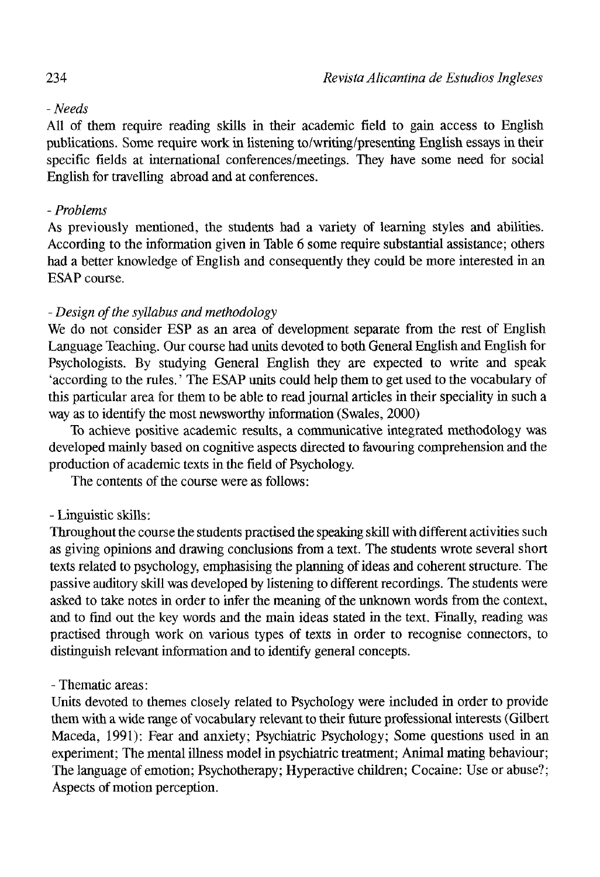## *- Needs*

All of them require reading skills in their academic fíeld to gain access to English publications. Some require work in listening to/writing/presenting English essays in their specific fields at international conferences/meetings. They nave some need for social English for travelling abroad and at conferences.

## - *Problems*

As previously mentioned, the students had a variety of learning styles and abilities. According to the information given in Table 6 some require substantial assistance; others had a better knowledge of English and consequently they could be more interested in an ESAP course.

## - *Design ofthe syllabus and methodology*

We do not consider ESP as an area of development separate from the rest of English Language Teaching. Our course had units devoted to both General English and English for Psychologists. By studying General English they are expected to write and speak 'according to the rules.' The ESAP units could help them to get used to the vocabulary of this particular area for them to be able to read journal articles in their speciality in such a way as to identify the most newsworthy information (Swales, 2000)

To achieve positive academic results, a communicative integrated methodology was developed mainly based on cognitive aspects directed to favouring comprehension and the production of academic texts in the field of Psychology.

The contents of the course were as follows:

## - Linguistic skills:

Throughout the course the students practised the speaking skill with different activities such as giving opinions and drawing conclusions from a text. The students wrote several short texts related to psychology, emphasising the planning of ideas and coherent structure. The passive auditory skill was developed by listening to different recordings. The students were asked to take notes in order to infer the meaning of the unknown words from the context, and to find out the key words and the main ideas stated in the text. Finally, reading was practised through work on various types of texts in order to recognise connectors, to distinguish relevant information and to identify general concepts.

## - Thematic areas:

Units devoted to themes closely related to Psychology were included in order to provide them with a wide range of vocabulary relevant to their ftiture professional interests (Gílbert Maceda, 1991): Fear and anxiety; Psychiatric Psychology; Some questions used in an experiment; The mental illness model in psychiatric treatment; Animal mating behaviour; The language of emotion; Psychotherapy; Hyperactive children; Cocaine: Use or abuse?; Aspects of motion perception.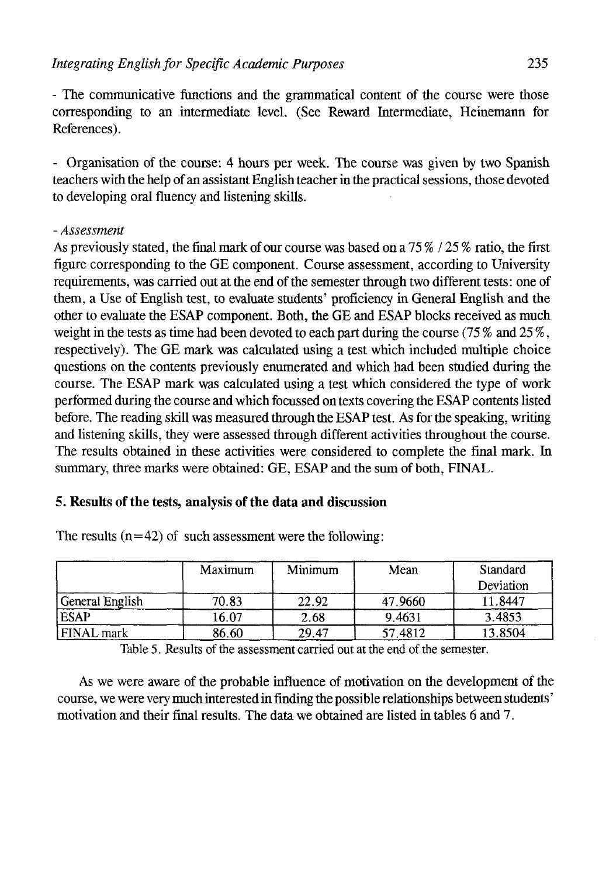- The communicative functions and the grammatical content of the course were those corresponding to an intermedíate level. (See Reward Intermedíate, Heinemann for References).

- Organisation of the course: 4 hours per week. The course was given by two Spanish teachers with the help of an assistant English teacher in the practical sessions, those devoted to developing oral fluency and listening skills.

## - *Assessment*

As previously stated, the final mark of our course was based on a  $75\%$  /  $25\%$  ratio, the first figure corresponding to the GE component. Course assessment, according to University requirements, was carried out at the end of the semester through two different tests: one of them, a Use of English test, to evaluate students' proficiency in General English and the other to evaluate the ESAP component. Both, the GE and ESAP blocks received as much weight in the tests as time had been devoted to each part during the course (75 % and 25 %, respectively). The GE mark was calculated using a test which included multiple choice questions on the contents previously enumerated and which had been studied during the course. The ESAP mark was calculated using a test which considered the type of work performed during the course and which focussed on texts covering the ESAP contents listed before. The reading skill was measured through the ESAP test. As for the speaking, writing and üstening skills, they were assessed through different activities throughout the course. The results obtained in these activities were considered to complete the final mark. In summary, three marks were obtained: GE, ESAP and the sum of both, EINAL.

## 5. **Results of the tests, analysis of the data and discussion**

|                 | Maximum | Minimum |         | Standard  |
|-----------------|---------|---------|---------|-----------|
|                 |         |         |         | Deviation |
| General English | 70.83   | 22.92   | 47.9660 | 1.8447    |
| <b>ESAP</b>     | 16.07   | 2.68    | 9.4631  | 3.4853    |
| FINAL mark      | 86.60   | 29.47   | 57.4812 | 13.8504   |

The results  $(n=42)$  of such assessment were the following:

Table 5. Results of the assessment carried out at the end of the semester.

As we were aware of the probable influence of motivation on the development of the course, we were very much interested in finding the possible relationships between students' motivation and their final results. The data we obtained are listed in tables 6 and 7.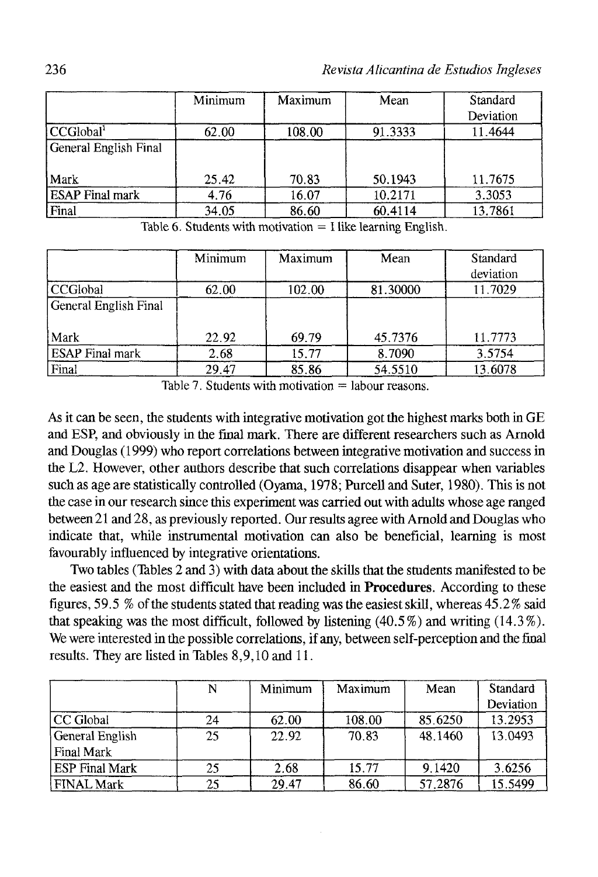|                        | Minimum | Maximum | Mean    | Standard  |
|------------------------|---------|---------|---------|-----------|
|                        |         |         |         | Deviation |
| CCGlobal <sup>T</sup>  | 62.00   | 108.00  | 91.3333 | 11.4644   |
| General English Final  |         |         |         |           |
| Mark                   | 25.42   | 70.83   | 50.1943 | 11.7675   |
| <b>ESAP</b> Final mark | 4.76    | 16.07   | 10.2171 | 3.3053    |
| Final                  | 34.05   | 86.60   | 60.4114 | 13.7861   |

Table 6. Students with motivation  $=$  I like learning English.

|                        | Minimum | Maximum | Mean     | Standard  |
|------------------------|---------|---------|----------|-----------|
|                        |         |         |          | deviation |
| l CCGlobal             | 62.00   | 102.00  | 81.30000 | 11.7029   |
| General English Final  |         |         |          |           |
| Mark                   | 22.92   | 69.79   | 45.7376  | 11.7773   |
| <b>ESAP</b> Final mark | 2.68    | 15.77   | 8.7090   | 3.5754    |
| Final                  | 29.47   | 85.86   | 54.5510  | 13.6078   |

Table 7. Students with motivation  $=$  labour reasons.

As it can be seen, the students with integrative motivation got the highest marks both in GE and ESP, and obviously in the final mark. There are different researchers such as Arnold and Douglas (1999) who report correlations between integrative motivation and success in the L2. However, other authors describe that such correlations disappear when variables such as age are statistically controlled (Oyama, 1978; Purcell and Suter, 1980). This is not the case in our research since this experiment was carried out with adults whose age ranged between21 and 28, as previously reported. Our resultsagree with Arnold and Douglas who indícate that, while instrumental motivation can also be beneficial, learning is most favourably influenced by integrative orientations.

Two tables (Tables 2 and 3) with data about the skills that the students manifested to be the easiest and the most difficult have been included in **Procedures.** According to these figures, 59.5 % of the students stated that reading was the easiest skill, whereas 45.2% said that speaking was the most difficult, followed by listening (40.5 %) and writing (14.3 %). We were interested in the possible correlations, if any, between self-perception and the final results. They are listed in Tables 8,9,10 and 11.

|                       | N  | Minimum | Maximum | Mean    | Standard  |
|-----------------------|----|---------|---------|---------|-----------|
|                       |    |         |         |         | Deviation |
| CC Global             | 24 | 62.00   | 108.00  | 85.6250 | 13.2953   |
| General English       | 25 | 22.92   | 70.83   | 48.1460 | 13.0493   |
| Final Mark            |    |         |         |         |           |
| <b>ESP Final Mark</b> | 25 | 2.68    | 15.77   | 9.1420  | 3.6256    |
| FINAL Mark            | 25 | 29.47   | 86.60   | 57.2876 | 15.5499   |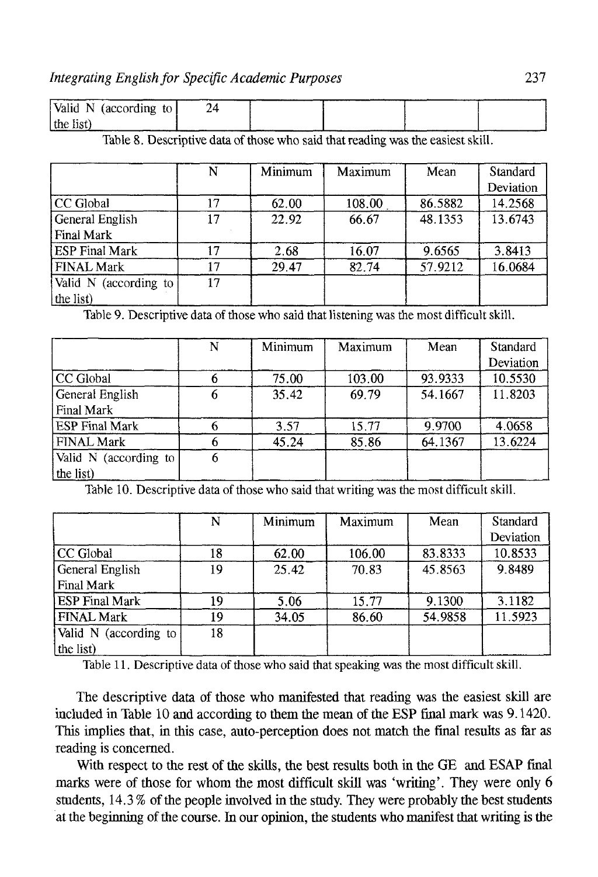| Valid N (according to $\vert$ |  |  |  |
|-------------------------------|--|--|--|
| $ $ the list)                 |  |  |  |

Table 8. Descriptive data of those who said that reading was the easiest skill.

|                                    | N  | Minimum | Maximum | Mean    | <b>Standard</b><br>Deviation |
|------------------------------------|----|---------|---------|---------|------------------------------|
| CC Global                          | 17 | 62.00   | 108.00  | 86.5882 | 14.2568                      |
| General English<br>Final Mark      | 17 | 22.92   | 66.67   | 48.1353 | 13.6743                      |
| <b>ESP Final Mark</b>              |    | 2.68    | 16.07   | 9.6565  | 3.8413                       |
| <b>FINAL Mark</b>                  |    | 29.47   | 82.74   | 57.9212 | 16.0684                      |
| Valid N (according to<br>the list) | 17 |         |         |         |                              |

Table 9. Descriptive data of those who said that listening was the most difficult skill.

|                       | N | Minimum | Maximum | Mean    | <b>Standard</b><br>Deviation |
|-----------------------|---|---------|---------|---------|------------------------------|
| CC Global             |   | 75.00   | 103.00  | 93.9333 | 10.5530                      |
| General English       | 6 | 35.42   | 69.79   | 54.1667 | 11.8203                      |
| Final Mark            |   |         |         |         |                              |
| <b>ESP Final Mark</b> |   | 3.57    | 15.77   | 9.9700  | 4.0658                       |
| <b>FINAL Mark</b>     |   | 45.24   | 85.86   | 64.1367 | 13.6224                      |
| Valid N (according to | 6 |         |         |         |                              |
| the list)             |   |         |         |         |                              |

Table 10. Descriptive data of those who said that writing was the most difficult skill.

|                       | N  | Minimum | Maximum | Mean    | Standard  |
|-----------------------|----|---------|---------|---------|-----------|
|                       |    |         |         |         | Deviation |
| CC Global             | 18 | 62.00   | 106.00  | 83.8333 | 10.8533   |
| General English       | 19 | 25.42   | 70.83   | 45.8563 | 9.8489    |
| Final Mark            |    |         |         |         |           |
| <b>ESP Final Mark</b> | 19 | 5.06    | 15.77   | 9.1300  | 3.1182    |
| <b>FINAL Mark</b>     | 19 | 34.05   | 86.60   | 54.9858 | 11.5923   |
| Valid N (according to | 18 |         |         |         |           |
| the list)             |    |         |         |         |           |

Table 11. Descriptive data of those who said that speaking was the most difficult skill.

The descriptive data of those who manifested that reading was the easiest skill are included in Table  $10$  and according to them the mean of the ESP final mark was  $9.1420$ . This implies that, in this case, auto-perception does not match the final results as far as reading is concerned.

With respect to the rest of the skills, the best results both in the GE and ESAP final marks were of those for whom the most difficult skill was 'writing'. They were only 6 students, 14.3 % of the people involved in the study. They were probably the best students at the beginning of the course. In our opinion, the students who manifest that writing is the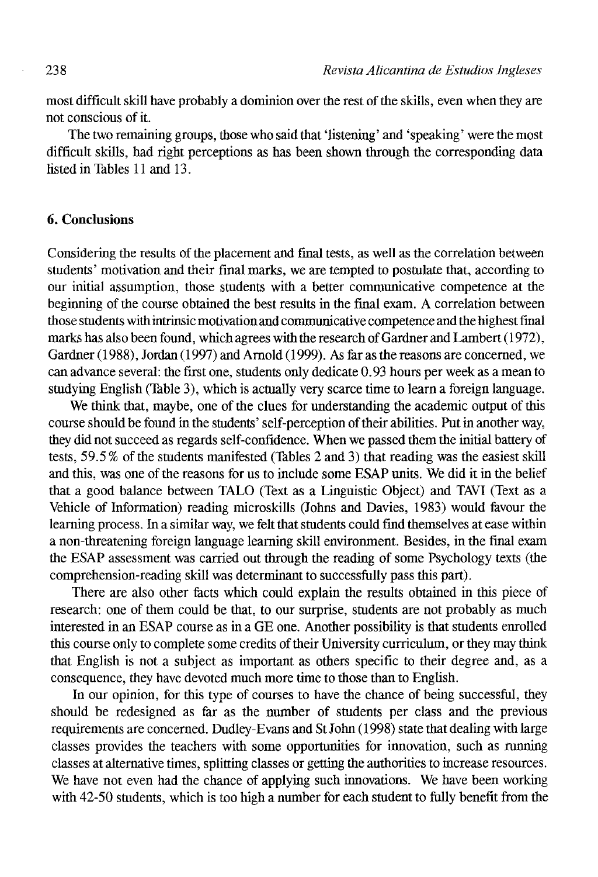most difficult skill have probably a dominion over the rest of the skills, even when they are not conscious of it.

The two remaining groups, those who said that 'listening' and 'speaking' were the most difficult skills, had right perceptions as has been shown through the corresponding data listed in Tables 11 and 13.

## 6. Conclusions

Considering the results of the placement and final tests, as well as the correlation between students' motivation and their final marks, we are tempted to postulate that, according to our initial assumption, those students with a better communicative competence at the beginning of the course obtained the best results in the final exam. A correlation between those students with intrinsic motivation and communicative competence and the highest final marks has also been found, which agrees with the research of Gardner and Lambert (1972), Gardner (1988), Jordan (1997) and Arnold (1999). As far as the reasons are concerned, we can advance several: the first one, students only dedicate 0.93 hours per week as a mean to studying English (Table 3), which is actually very scarce time to learn a foreign language.

We think that, maybe, one of the clues for understanding the academic output of this course should be found in the students' seif-perception of their abilities. Put in another way, they did not succeed as regards self-confidence. When we passed them the initial battery of tests, 59.5 % of the students manifested (Tables 2 and 3) that reading was the easiest skill and this, was one of the reasons for us to include some ESAP units. We did it in the belief that a good balance between TALO (Text as a Linguistic Object) and TAVI (Text as a Vehicle of Information) reading microskills (Johns and Davies, 1983) would favour the learning process. In a similar way, we felt that students could find themselves at ease within a non-threatening foreign language learning skill environment. Besides, in the final exam the ESAP assessment was carried out through the reading of some Psychology texts (the comprehension-reading skill was determinant to successfully pass this part).

There are also other facts which could explain the results obtained in this piece of research: one of them could be that, to our surprise, students are not probably as much interested in an ESAP course as in a GE one. Another possibility is that students enrolled this course only to complete some credits of their University curriculum, or they may think that English is not a subject as important as others specific to their degree and, as a consequence, they have devoted much more time to those than to English.

In our opinión, for this type of courses to have the chance of being successful, they should be redesigned as far as the number of students per class and the previous requirements are concerned. Dudley-Evans and St John (1998) state that dealing with large classes provides the teachers with some opportunities for innovation, such as running classes at alternative times, splitting classes or getting the authorities to increase resources. We have not even had the chance of applying such innovations. We have been working with 42-50 students, which is too high a number for each student to fully benefit from the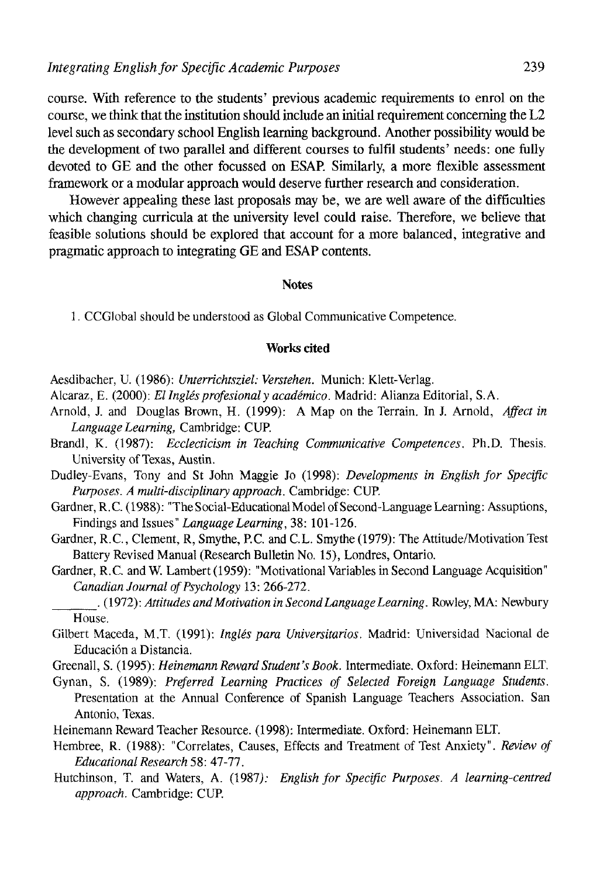course. With reference to the students' previous academic requirements to enrol on the course, we think that the institution should include an initial requirement concerning the L2 level such as secondary school English learning background. Another possibility would be the development of two parallel and different courses to fulfil students' needs: one fully devoted to GE and the other focussed on ESAP. Similarly, a more flexible assessment framework or a modular approach would deserve further research and consideration.

However appealing these last proposals may be, we are well aware of the difficulties which changing curricula at the university level could raise. Therefore, we believe that feasible solutions should be explored that account for a more balanced, integrative and pragmatic approach to integrating GE and ESAP contents.

#### Notes

1. CCGlobal should be understood as Global Communicative Competence.

#### **Works cited**

- Aesdibacher, U. (1986): *Unterrichtsziel: Verstehen.* Munich: Klett-Verlag.
- Alcaraz, E. (2000): *El Inglés profesional y académico.* Madrid: Alianza Editorial, S.A.
- Arnold, J. and Douglas Brown, H. (1999): A Map on the Terrain. In J. Arnold, *Affect in Language Learning,* Cambridge: CUP.
- Brandl, K. (1987): *Ecclecticism in Teaching Communicative Competences.* Ph.D. Thesis. University of Texas, Austin.
- Dudley-Evans, Tony and St John Maggie Jo (1998): *Developments in English for Specific Purposes. A mulíi-disciplinary approach.* Cambridge: CUP.
- Gardner, R.C. (1988): "The Social-Educational Model of Second-Language Learning: Assuptions, Findings and Issues" *Language Learning,* 38: 101-126.
- Gardner, R.C., Clement, R. Smythe, P.C. and C.L. Smythe (1979): The Attitude/Motivation Test Battery Revised Manual (Research Bulletin No. 15), Londres, Ontario.
- Gardner, R.C. and W. Lambert (1959): "Motivational Variables in Second Language Acquisition" *Canadian Journal of Psychology* 13: 266-272.

. (1972): *Altitudes and Motivation in Second Language Learning.* Rowley, MA: Newbury House.

- Gilbert Maceda, M.T. (1991): *Inglés para Universitarios.* Madrid: Universidad Nacional de Educación a Distancia.
- Greenall, S. (1995): *HeinemannRewardStudent'sBook.* Intermedíate. Oxford: Heinemann ELT.

Gynan, S. (1989): *Preferred Learning Practices of Selected Foreign Language Students.*  Presentation at the Annual Conference of Spanish Language Teachers Association. San Antonio, Texas.

- Heinemann Reward Teacher Resource. (1998): Intermedíate. Oxford: Heinemann ELT.
- Hembree, R. (1988): "Correlates, Causes, Effects and Treatment of Test Anxiety". *Review of EducationalResearch* 58: 47-77.
- Hutchinson, T. and Waters, A. (1987): *English for Specific Purposes. A learning-centred approach.* Cambridge: CUP.